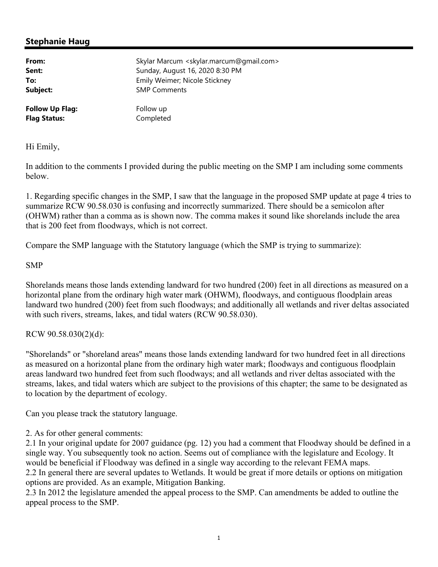## **Stephanie Haug**

| From:<br>Sent:         | Skylar Marcum <skylar.marcum@gmail.com><br/>Sunday, August 16, 2020 8:30 PM</skylar.marcum@gmail.com> |
|------------------------|-------------------------------------------------------------------------------------------------------|
| To:                    | Emily Weimer; Nicole Stickney                                                                         |
| Subject:               | <b>SMP Comments</b>                                                                                   |
| <b>Follow Up Flag:</b> | Follow up                                                                                             |
| <b>Flag Status:</b>    | Completed                                                                                             |

Hi Emily,

In addition to the comments I provided during the public meeting on the SMP I am including some comments below.

1. Regarding specific changes in the SMP, I saw that the language in the proposed SMP update at page 4 tries to summarize RCW 90.58.030 is confusing and incorrectly summarized. There should be a semicolon after (OHWM) rather than a comma as is shown now. The comma makes it sound like shorelands include the area that is 200 feet from floodways, which is not correct.

Compare the SMP language with the Statutory language (which the SMP is trying to summarize):

## SMP

Shorelands means those lands extending landward for two hundred (200) feet in all directions as measured on a horizontal plane from the ordinary high water mark (OHWM), floodways, and contiguous floodplain areas landward two hundred (200) feet from such floodways; and additionally all wetlands and river deltas associated with such rivers, streams, lakes, and tidal waters (RCW 90.58.030).

## RCW 90.58.030(2)(d):

"Shorelands" or "shoreland areas" means those lands extending landward for two hundred feet in all directions as measured on a horizontal plane from the ordinary high water mark; floodways and contiguous floodplain areas landward two hundred feet from such floodways; and all wetlands and river deltas associated with the streams, lakes, and tidal waters which are subject to the provisions of this chapter; the same to be designated as to location by the department of ecology.

Can you please track the statutory language.

2. As for other general comments:

2.1 In your original update for 2007 guidance (pg. 12) you had a comment that Floodway should be defined in a single way. You subsequently took no action. Seems out of compliance with the legislature and Ecology. It would be beneficial if Floodway was defined in a single way according to the relevant FEMA maps. 2.2 In general there are several updates to Wetlands. It would be great if more details or options on mitigation options are provided. As an example, Mitigation Banking.

2.3 In 2012 the legislature amended the appeal process to the SMP. Can amendments be added to outline the appeal process to the SMP.